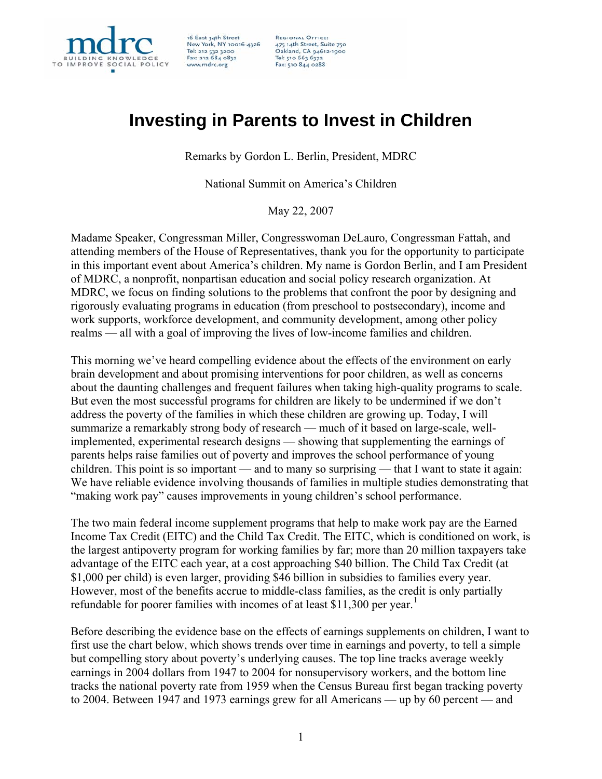

16 East 34th Street<br>New York, NY 10016-4326 Tel: 212 532 3200<br>Fax: 212 684 0832 www.mdrc.org

**REGIONAL OFFICE:** 475 14th Street, Suite 750<br>Oakland, CA 94612-1900 Tel: 510 663 6372 Fax: 510 844 0288

## **Investing in Parents to Invest in Children**

Remarks by Gordon L. Berlin, President, MDRC

National Summit on America's Children

May 22, 2007

Madame Speaker, Congressman Miller, Congresswoman DeLauro, Congressman Fattah, and attending members of the House of Representatives, thank you for the opportunity to participate in this important event about America's children. My name is Gordon Berlin, and I am President of MDRC, a nonprofit, nonpartisan education and social policy research organization. At MDRC, we focus on finding solutions to the problems that confront the poor by designing and rigorously evaluating programs in education (from preschool to postsecondary), income and work supports, workforce development, and community development, among other policy realms — all with a goal of improving the lives of low-income families and children.

This morning we've heard compelling evidence about the effects of the environment on early brain development and about promising interventions for poor children, as well as concerns about the daunting challenges and frequent failures when taking high-quality programs to scale. But even the most successful programs for children are likely to be undermined if we don't address the poverty of the families in which these children are growing up. Today, I will summarize a remarkably strong body of research — much of it based on large-scale, wellimplemented, experimental research designs — showing that supplementing the earnings of parents helps raise families out of poverty and improves the school performance of young children. This point is so important — and to many so surprising — that I want to state it again: We have reliable evidence involving thousands of families in multiple studies demonstrating that "making work pay" causes improvements in young children's school performance.

The two main federal income supplement programs that help to make work pay are the Earned Income Tax Credit (EITC) and the Child Tax Credit. The EITC, which is conditioned on work, is the largest antipoverty program for working families by far; more than 20 million taxpayers take advantage of the EITC each year, at a cost approaching \$40 billion. The Child Tax Credit (at \$1,000 per child) is even larger, providing \$46 billion in subsidies to families every year. However, most of the benefits accrue to middle-class families, as the credit is only partially refundable for poorer families with incomes of at least \$[1](#page-5-0)1,300 per year.<sup>1</sup>

Before describing the evidence base on the effects of earnings supplements on children, I want to first use the chart below, which shows trends over time in earnings and poverty, to tell a simple but compelling story about poverty's underlying causes. The top line tracks average weekly earnings in 2004 dollars from 1947 to 2004 for nonsupervisory workers, and the bottom line tracks the national poverty rate from 1959 when the Census Bureau first began tracking poverty to 2004. Between 1947 and 1973 earnings grew for all Americans — up by 60 percent — and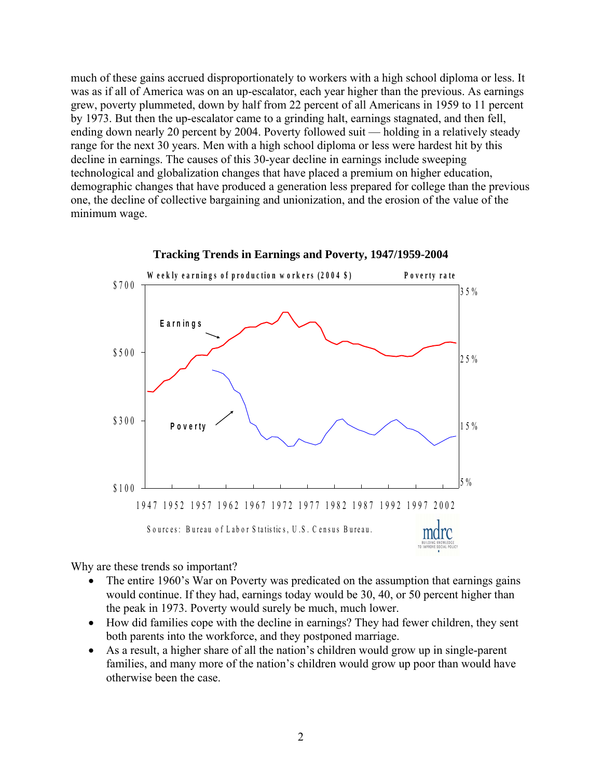much of these gains accrued disproportionately to workers with a high school diploma or less. It was as if all of America was on an up-escalator, each year higher than the previous. As earnings grew, poverty plummeted, down by half from 22 percent of all Americans in 1959 to 11 percent by 1973. But then the up-escalator came to a grinding halt, earnings stagnated, and then fell, ending down nearly 20 percent by 2004. Poverty followed suit — holding in a relatively steady range for the next 30 years. Men with a high school diploma or less were hardest hit by this decline in earnings. The causes of this 30-year decline in earnings include sweeping technological and globalization changes that have placed a premium on higher education, demographic changes that have produced a generation less prepared for college than the previous one, the decline of collective bargaining and unionization, and the erosion of the value of the minimum wage.



**Tracking Trends in Earnings and Poverty, 1947/1959-2004**

Why are these trends so important?

- The entire 1960's War on Poverty was predicated on the assumption that earnings gains would continue. If they had, earnings today would be 30, 40, or 50 percent higher than the peak in 1973. Poverty would surely be much, much lower.
- How did families cope with the decline in earnings? They had fewer children, they sent both parents into the workforce, and they postponed marriage.
- As a result, a higher share of all the nation's children would grow up in single-parent families, and many more of the nation's children would grow up poor than would have otherwise been the case.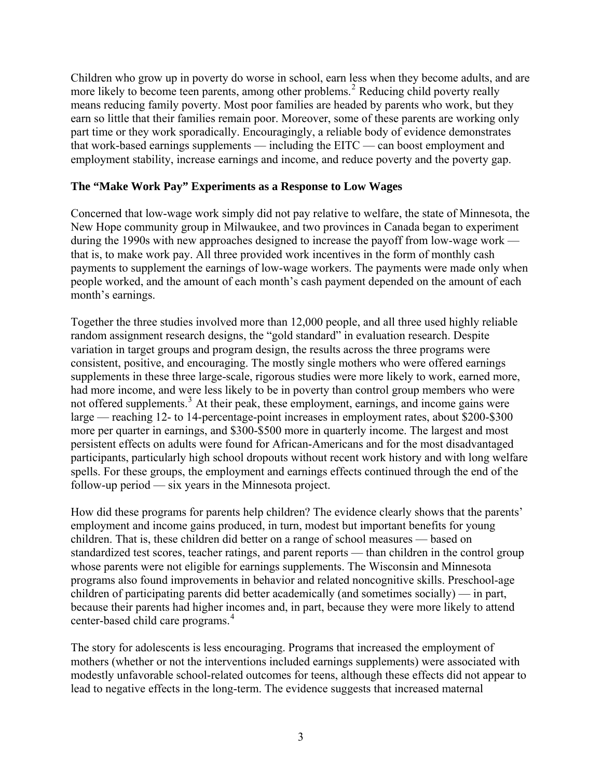Children who grow up in poverty do worse in school, earn less when they become adults, and are more likely to become teen parents, among other problems.<sup>[2](#page-5-1)</sup> Reducing child poverty really means reducing family poverty. Most poor families are headed by parents who work, but they earn so little that their families remain poor. Moreover, some of these parents are working only part time or they work sporadically. Encouragingly, a reliable body of evidence demonstrates that work-based earnings supplements — including the EITC — can boost employment and employment stability, increase earnings and income, and reduce poverty and the poverty gap.

## **The "Make Work Pay" Experiments as a Response to Low Wages**

Concerned that low-wage work simply did not pay relative to welfare, the state of Minnesota, the New Hope community group in Milwaukee, and two provinces in Canada began to experiment during the 1990s with new approaches designed to increase the payoff from low-wage work that is, to make work pay. All three provided work incentives in the form of monthly cash payments to supplement the earnings of low-wage workers. The payments were made only when people worked, and the amount of each month's cash payment depended on the amount of each month's earnings.

Together the three studies involved more than 12,000 people, and all three used highly reliable random assignment research designs, the "gold standard" in evaluation research. Despite variation in target groups and program design, the results across the three programs were consistent, positive, and encouraging. The mostly single mothers who were offered earnings supplements in these three large-scale, rigorous studies were more likely to work, earned more, had more income, and were less likely to be in poverty than control group members who were not offered supplements.<sup>[3](#page-5-1)</sup> At their peak, these employment, earnings, and income gains were large — reaching 12- to 14-percentage-point increases in employment rates, about \$200-\$300 more per quarter in earnings, and \$300-\$500 more in quarterly income. The largest and most persistent effects on adults were found for African-Americans and for the most disadvantaged participants, particularly high school dropouts without recent work history and with long welfare spells. For these groups, the employment and earnings effects continued through the end of the follow-up period — six years in the Minnesota project.

How did these programs for parents help children? The evidence clearly shows that the parents' employment and income gains produced, in turn, modest but important benefits for young children. That is, these children did better on a range of school measures — based on standardized test scores, teacher ratings, and parent reports — than children in the control group whose parents were not eligible for earnings supplements. The Wisconsin and Minnesota programs also found improvements in behavior and related noncognitive skills. Preschool-age children of participating parents did better academically (and sometimes socially) — in part, because their parents had higher incomes and, in part, because they were more likely to attend center-based child care programs.<sup>[4](#page-5-1)</sup>

The story for adolescents is less encouraging. Programs that increased the employment of mothers (whether or not the interventions included earnings supplements) were associated with modestly unfavorable school-related outcomes for teens, although these effects did not appear to lead to negative effects in the long-term. The evidence suggests that increased maternal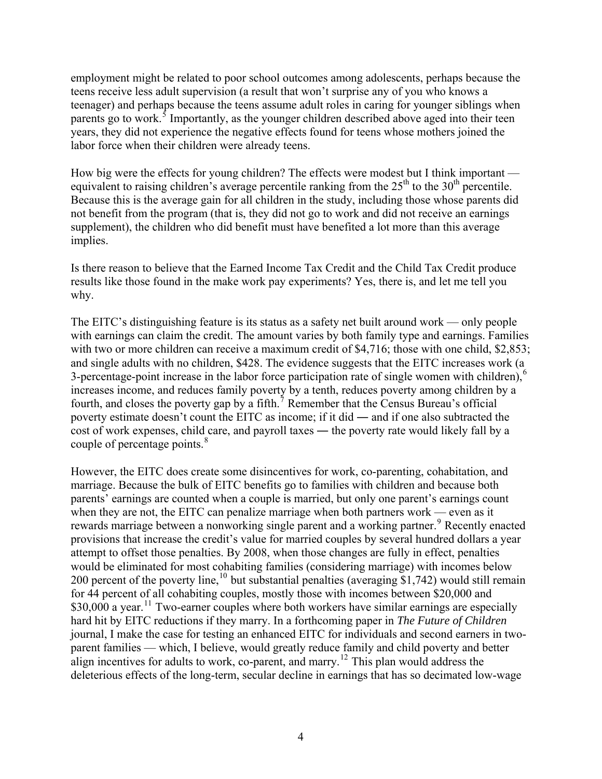employment might be related to poor school outcomes among adolescents, perhaps because the teens receive less adult supervision (a result that won't surprise any of you who knows a teenager) and perhaps because the teens assume adult roles in caring for younger siblings when parents go to work.<sup>[5](#page-5-1)</sup> Importantly, as the younger children described above aged into their teen years, they did not experience the negative effects found for teens whose mothers joined the labor force when their children were already teens.

How big were the effects for young children? The effects were modest but I think important equivalent to raising children's average percentile ranking from the  $25<sup>th</sup>$  to the  $30<sup>th</sup>$  percentile. Because this is the average gain for all children in the study, including those whose parents did not benefit from the program (that is, they did not go to work and did not receive an earnings supplement), the children who did benefit must have benefited a lot more than this average implies.

Is there reason to believe that the Earned Income Tax Credit and the Child Tax Credit produce results like those found in the make work pay experiments? Yes, there is, and let me tell you why.

The EITC's distinguishing feature is its status as a safety net built around work — only people with earnings can claim the credit. The amount varies by both family type and earnings. Families with two or more children can receive a maximum credit of \$4,716; those with one child, \$2,853; and single adults with no children, \$428. The evidence suggests that the EITC increases work (a 3-percentage-point increase in the labor force participation rate of single women with children), $\delta$ increases income, and reduces family poverty by a tenth, reduces poverty among children by a fourth, and closes the poverty gap by a fifth.<sup>[7](#page-5-1)</sup> Remember that the Census Bureau's official poverty estimate doesn't count the EITC as income; if it did ― and if one also subtracted the cost of work expenses, child care, and payroll taxes ― the poverty rate would likely fall by a couple of percentage points.<sup>[8](#page-5-1)</sup>

However, the EITC does create some disincentives for work, co-parenting, cohabitation, and marriage. Because the bulk of EITC benefits go to families with children and because both parents' earnings are counted when a couple is married, but only one parent's earnings count when they are not, the EITC can penalize marriage when both partners work — even as it rewards marriage between a nonworking single parent and a working partner.<sup>[9](#page-5-1)</sup> Recently enacted provisions that increase the credit's value for married couples by several hundred dollars a year attempt to offset those penalties. By 2008, when those changes are fully in effect, penalties would be eliminated for most cohabiting families (considering marriage) with incomes below 200 percent of the poverty line,  $^{10}$  $^{10}$  $^{10}$  but substantial penalties (averaging \$1,742) would still remain for 44 percent of all cohabiting couples, mostly those with incomes between \$20,000 and \$30,000 a year.<sup>[11](#page-5-1)</sup> Two-earner couples where both workers have similar earnings are especially hard hit by EITC reductions if they marry. In a forthcoming paper in *The Future of Children* journal, I make the case for testing an enhanced EITC for individuals and second earners in twoparent families — which, I believe, would greatly reduce family and child poverty and better align incentives for adults to work, co-parent, and marry.<sup>[12](#page-5-1)</sup> This plan would address the deleterious effects of the long-term, secular decline in earnings that has so decimated low-wage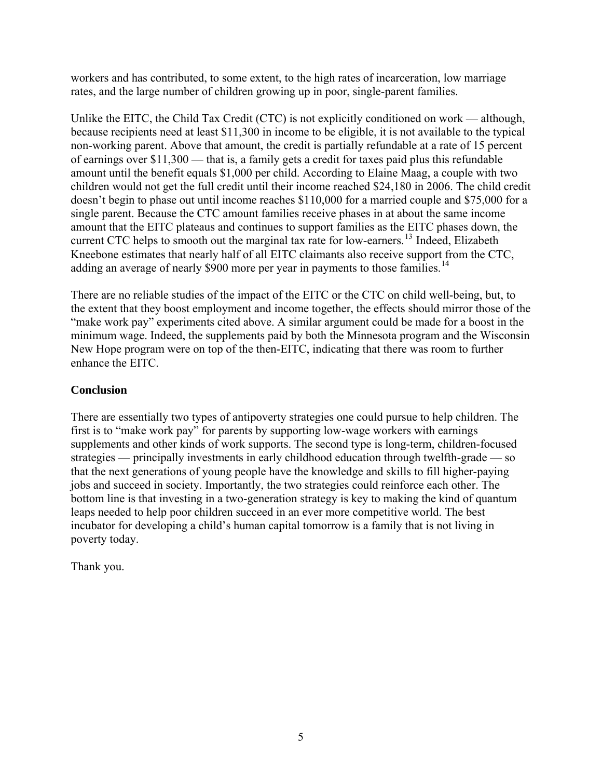workers and has contributed, to some extent, to the high rates of incarceration, low marriage rates, and the large number of children growing up in poor, single-parent families.

Unlike the EITC, the Child Tax Credit (CTC) is not explicitly conditioned on work — although, because recipients need at least \$11,300 in income to be eligible, it is not available to the typical non-working parent. Above that amount, the credit is partially refundable at a rate of 15 percent of earnings over \$11,300 — that is, a family gets a credit for taxes paid plus this refundable amount until the benefit equals \$1,000 per child. According to Elaine Maag, a couple with two children would not get the full credit until their income reached \$24,180 in 2006. The child credit doesn't begin to phase out until income reaches \$110,000 for a married couple and \$75,000 for a single parent. Because the CTC amount families receive phases in at about the same income amount that the EITC plateaus and continues to support families as the EITC phases down, the current CTC helps to smooth out the marginal tax rate for low-earners.<sup>[13](#page-5-1)</sup> Indeed, Elizabeth Kneebone estimates that nearly half of all EITC claimants also receive support from the CTC, adding an average of nearly \$900 more per year in payments to those families.<sup>[14](#page-5-1)</sup>

There are no reliable studies of the impact of the EITC or the CTC on child well-being, but, to the extent that they boost employment and income together, the effects should mirror those of the "make work pay" experiments cited above. A similar argument could be made for a boost in the minimum wage. Indeed, the supplements paid by both the Minnesota program and the Wisconsin New Hope program were on top of the then-EITC, indicating that there was room to further enhance the EITC.

## **Conclusion**

There are essentially two types of antipoverty strategies one could pursue to help children. The first is to "make work pay" for parents by supporting low-wage workers with earnings supplements and other kinds of work supports. The second type is long-term, children-focused strategies — principally investments in early childhood education through twelfth-grade — so that the next generations of young people have the knowledge and skills to fill higher-paying jobs and succeed in society. Importantly, the two strategies could reinforce each other. The bottom line is that investing in a two-generation strategy is key to making the kind of quantum leaps needed to help poor children succeed in an ever more competitive world. The best incubator for developing a child's human capital tomorrow is a family that is not living in poverty today.

Thank you.